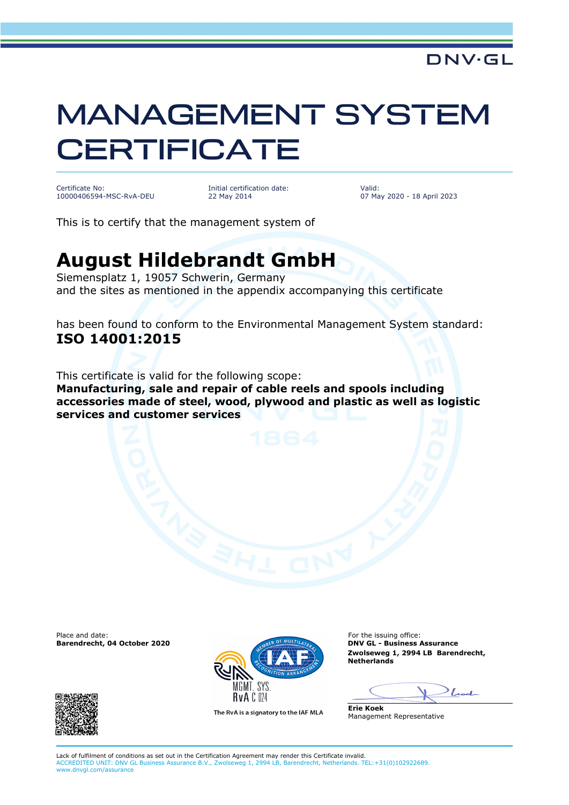## MANAGEMENT SYSTEM **CERTIFICATE**

Certificate No: 10000406594-MSC-RvA-DEU Initial certification date: 22 May 2014

Valid: 07 May 2020 - 18 April 2023

This is to certify that the management system of

## **August Hildebrandt GmbH**

Siemensplatz 1, 19057 Schwerin, Germany and the sites as mentioned in the appendix accompanying this certificate

has been found to conform to the Environmental Management System standard: **ISO 14001:2015**

This certificate is valid for the following scope: **Manufacturing, sale and repair of cable reels and spools including accessories made of steel, wood, plywood and plastic as well as logistic services and customer services**

**Barendrecht, 04 October 2020** 





The RvA is a signatory to the IAF MLA

**Zwolseweg 1, 2994 LB Barendrecht, Netherlands**

 $\int_{\mathbb{R}}$ 

**Erie Koek** Management Representative

Lack of fulfilment of conditions as set out in the Certification Agreement may render this Certificate invalid. ACCREDITED UNIT: DNV GL Business Assurance B.V., Zwolseweg 1, 2994 LB, Barendrecht, Netherlands. TEL:+31(0)102922689. www.dnvgl.com/assurance